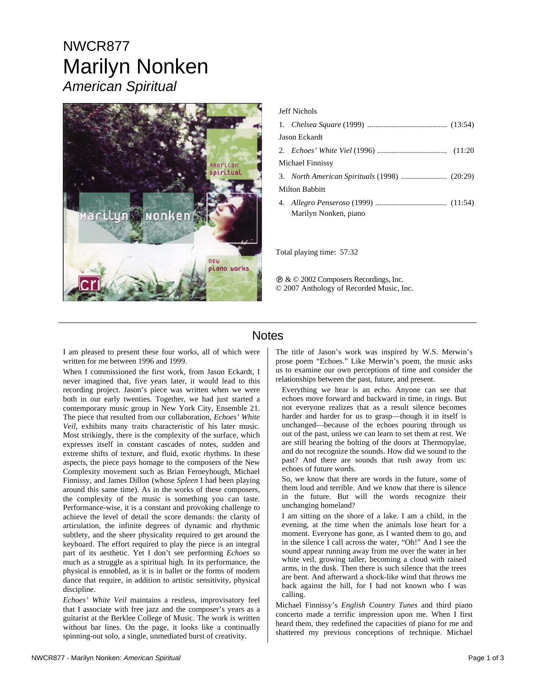# NWCR877 Marilyn Nonken *American Spiritual*



#### Jeff Nichols

| Jason Eckardt    |                       |  |
|------------------|-----------------------|--|
|                  |                       |  |
| Michael Finnissy |                       |  |
|                  |                       |  |
| Milton Babbitt   |                       |  |
|                  |                       |  |
|                  | Marilyn Nonken, piano |  |

Total playing time: 57:32

Ê & © 2002 Composers Recordings, Inc. © 2007 Anthology of Recorded Music, Inc.

### **Notes**

I am pleased to present these four works, all of which were written for me between 1996 and 1999.

When I commissioned the first work, from Jason Eckardt, I never imagined that, five years later, it would lead to this recording project. Jason's piece was written when we were both in our early twenties. Together, we had just started a contemporary music group in New York City, Ensemble 21. The piece that resulted from our collaboration, *Echoes' White Veil*, exhibits many traits characteristic of his later music. Most strikingly, there is the complexity of the surface, which expresses itself in constant cascades of notes, sudden and extreme shifts of texture, and fluid, exotic rhythms. In these aspects, the piece pays homage to the composers of the New Complexity movement such as Brian Ferneyhough, Michael Finnissy, and James Dillon (whose *Spleen* I had been playing around this same time). As in the works of these composers, the complexity of the music is something you can taste. Performance-wise, it is a constant and provoking challenge to achieve the level of detail the score demands: the clarity of articulation, the infinite degrees of dynamic and rhythmic subtlety, and the sheer physicality required to get around the keyboard. The effort required to play the piece is an integral part of its aesthetic. Yet I don't see performing *Echoes* so much as a struggle as a spiritual high. In its performance, the physical is ennobled, as it is in ballet or the forms of modern dance that require, in addition to artistic sensitivity, physical discipline.

*Echoes' White Veil* maintains a restless, improvisatory feel that I associate with free jazz and the composer's years as a guitarist at the Berklee College of Music. The work is written without bar lines. On the page, it looks like a continually spinning-out solo, a single, unmediated burst of creativity.

The title of Jason's work was inspired by W.S. Merwin's prose poem "Echoes." Like Merwin's poem, the music asks us to examine our own perceptions of time and consider the relationships between the past, future, and present.

Everything we hear is an echo. Anyone can see that echoes move forward and backward in time, in rings. But not everyone realizes that as a result silence becomes harder and harder for us to grasp—though it in itself is unchanged—because of the echoes pouring through us out of the past, unless we can learn to set them at rest. We are still hearing the bolting of the doors at Thermopylae, and do not recognize the sounds. How did we sound to the past? And there are sounds that rush away from us: echoes of future words.

So, we know that there are words in the future, some of them loud and terrible. And we know that there is silence in the future. But will the words recognize their unchanging homeland?

I am sitting on the shore of a lake. I am a child, in the evening, at the time when the animals lose heart for a moment. Everyone has gone, as I wanted them to go, and in the silence I call across the water, "Oh!" And I see the sound appear running away from me over the water in her white veil, growing taller, becoming a cloud with raised arms, in the dusk. Then there is such silence that the trees are bent. And afterward a shock-like wind that throws me back against the hill, for I had not known who I was calling.

Michael Finnissy's *English Country Tunes* and third piano concerto made a terrific impression upon me. When I first heard them, they redefined the capacities of piano for me and shattered my previous conceptions of technique. Michael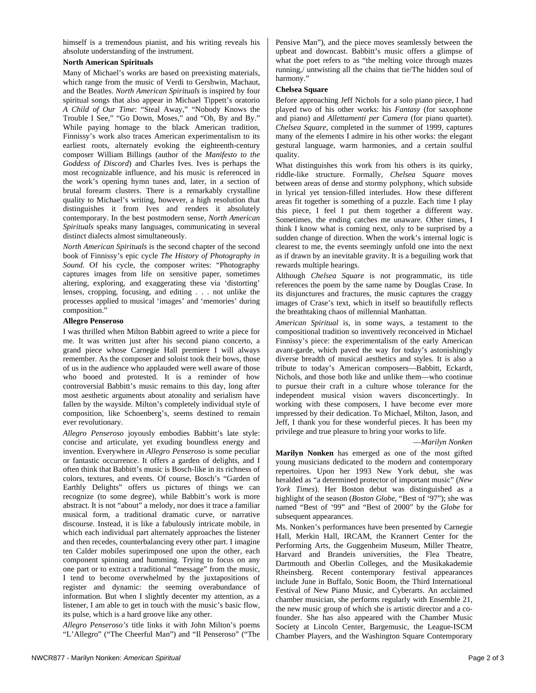himself is a tremendous pianist, and his writing reveals his absolute understanding of the instrument.

#### **North American Spirituals**

Many of Michael's works are based on preexisting materials, which range from the music of Verdi to Gershwin, Machaut, and the Beatles. *North American Spirituals* is inspired by four spiritual songs that also appear in Michael Tippett's oratorio *A Child of Our Time*: "Steal Away," "Nobody Knows the Trouble I See," "Go Down, Moses," and "Oh, By and By." While paying homage to the black American tradition, Finnissy's work also traces American experimentalism to its earliest roots, alternately evoking the eighteenth-century composer William Billings (author of the *Manifesto to the Goddess of Discord*) and Charles Ives. Ives is perhaps the most recognizable influence, and his music is referenced in the work's opening hymn tunes and, later, in a section of brutal forearm clusters. There is a remarkably crystalline quality to Michael's writing, however, a high resolution that distinguishes it from Ives and renders it absolutely contemporary. In the best postmodern sense, *North American Spirituals* speaks many languages, communicating in several distinct dialects almost simultaneously.

*North American Spirituals* is the second chapter of the second book of Finnissy's epic cycle *The History of Photography in Sound*. Of his cycle, the composer writes: "Photography captures images from life on sensitive paper, sometimes altering, exploring, and exaggerating these via 'distorting' lenses, cropping, focusing, and editing . . . not unlike the processes applied to musical 'images' and 'memories' during composition."

#### **Allegro Penseroso**

I was thrilled when Milton Babbitt agreed to write a piece for me. It was written just after his second piano concerto, a grand piece whose Carnegie Hall premiere I will always remember. As the composer and soloist took their bows, those of us in the audience who applauded were well aware of those who booed and protested. It is a reminder of how controversial Babbitt's music remains to this day, long after most aesthetic arguments about atonality and serialism have fallen by the wayside. Milton's completely individual style of composition, like Schoenberg's, seems destined to remain ever revolutionary.

*Allegro Penseroso* joyously embodies Babbitt's late style: concise and articulate, yet exuding boundless energy and invention. Everywhere in *Allegro Penseroso* is some peculiar or fantastic occurrence. It offers a garden of delights, and I often think that Babbitt's music is Bosch-like in its richness of colors, textures, and events. Of course, Bosch's "Garden of Earthly Delights" offers us pictures of things we can recognize (to some degree), while Babbitt's work is more abstract. It is not "about" a melody, nor does it trace a familiar musical form, a traditional dramatic curve, or narrative discourse. Instead, it is like a fabulously intricate mobile, in which each individual part alternately approaches the listener and then recedes, counterbalancing every other part. I imagine ten Calder mobiles superimposed one upon the other, each component spinning and humming. Trying to focus on any one part or to extract a traditional "message" from the music, I tend to become overwhelmed by the juxtapositions of register and dynamic: the seeming overabundance of information. But when I slightly decenter my attention, as a listener, I am able to get in touch with the music's basic flow, its pulse, which is a hard groove like any other.

*Allegro Penseroso's* title links it with John Milton's poems "L'Allegro" ("The Cheerful Man") and "Il Penseroso" ("The Pensive Man"), and the piece moves seamlessly between the upbeat and downcast. Babbitt's music offers a glimpse of what the poet refers to as "the melting voice through mazes running,/ untwisting all the chains that tie/The hidden soul of harmony."

#### **Chelsea Square**

Before approaching Jeff Nichols for a solo piano piece, I had played two of his other works: his *Fantasy* (for saxophone and piano) and *Allettamenti per Camera* (for piano quartet). *Chelsea Square*, completed in the summer of 1999, captures many of the elements I admire in his other works: the elegant gestural language, warm harmonies, and a certain soulful quality.

What distinguishes this work from his others is its quirky, riddle-like structure. Formally, *Chelsea Square* moves between areas of dense and stormy polyphony, which subside in lyrical yet tension-filled interludes. How these different areas fit together is something of a puzzle. Each time I play this piece, I feel I put them together a different way. Sometimes, the ending catches me unaware. Other times, I think I know what is coming next, only to be surprised by a sudden change of direction. When the work's internal logic is clearest to me, the events seemingly unfold one into the next as if drawn by an inevitable gravity. It is a beguiling work that rewards multiple hearings.

Although *Chelsea Square* is not programmatic, its title references the poem by the same name by Douglas Crase. In its disjunctures and fractures, the music captures the craggy images of Crase's text, which in itself so beautifully reflects the breathtaking chaos of millennial Manhattan.

*American Spiritual* is, in some ways, a testament to the compositional tradition so inventively reconceived in Michael Finnissy's piece: the experimentalism of the early American avant-garde, which paved the way for today's astonishingly diverse breadth of musical aesthetics and styles. It is also a tribute to today's American composers—Babbitt, Eckardt, Nichols, and those both like and unlike them—who continue to pursue their craft in a culture whose tolerance for the independent musical vision wavers disconcertingly. In working with these composers, I have become ever more impressed by their dedication. To Michael, Milton, Jason, and Jeff, I thank you for these wonderful pieces. It has been my privilege and true pleasure to bring your works to life.

#### —*Marilyn Nonken*

**Marilyn Nonken** has emerged as one of the most gifted young musicians dedicated to the modern and contemporary repertoires. Upon her 1993 New York debut, she was heralded as "a determined protector of important music" (*New York Times*). Her Boston debut was distinguished as a highlight of the season (*Boston Globe*, "Best of '97"); she was named "Best of '99" and "Best of 2000" by the *Globe* for subsequent appearances.

Ms. Nonken's performances have been presented by Carnegie Hall, Merkin Hall, IRCAM, the Krannert Center for the Performing Arts, the Guggenheim Museum, Miller Theatre, Harvard and Brandeis universities, the Flea Theatre, Dartmouth and Oberlin Colleges, and the Musikakademie Rheinsberg. Recent contemporary festival appearances include June in Buffalo, Sonic Boom, the Third International Festival of New Piano Music, and Cyberarts. An acclaimed chamber musician, she performs regularly with Ensemble 21, the new music group of which she is artistic director and a cofounder. She has also appeared with the Chamber Music Society at Lincoln Center, Bargemusic, the League-ISCM Chamber Players, and the Washington Square Contemporary